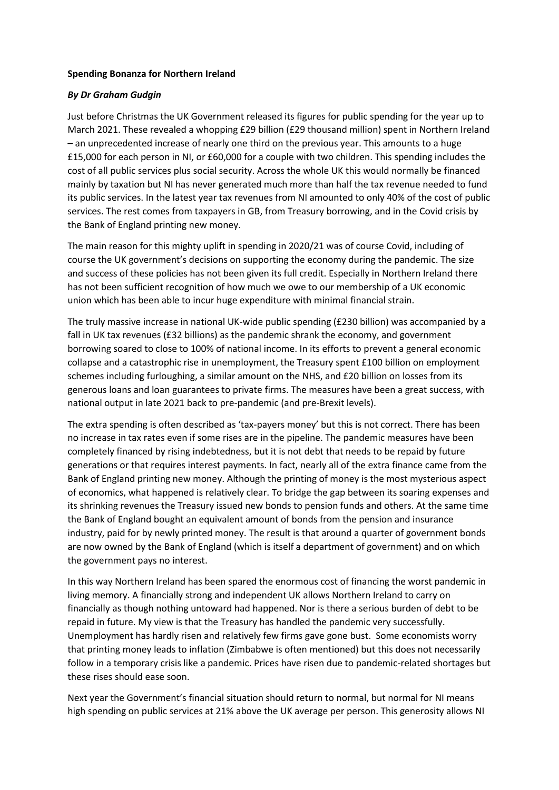## **Spending Bonanza for Northern Ireland**

## *By Dr Graham Gudgin*

Just before Christmas the UK Government released its figures for public spending for the year up to March 2021. These revealed a whopping £29 billion (£29 thousand million) spent in Northern Ireland – an unprecedented increase of nearly one third on the previous year. This amounts to a huge £15,000 for each person in NI, or £60,000 for a couple with two children. This spending includes the cost of all public services plus social security. Across the whole UK this would normally be financed mainly by taxation but NI has never generated much more than half the tax revenue needed to fund its public services. In the latest year tax revenues from NI amounted to only 40% of the cost of public services. The rest comes from taxpayers in GB, from Treasury borrowing, and in the Covid crisis by the Bank of England printing new money.

The main reason for this mighty uplift in spending in 2020/21 was of course Covid, including of course the UK government's decisions on supporting the economy during the pandemic. The size and success of these policies has not been given its full credit. Especially in Northern Ireland there has not been sufficient recognition of how much we owe to our membership of a UK economic union which has been able to incur huge expenditure with minimal financial strain.

The truly massive increase in national UK-wide public spending (£230 billion) was accompanied by a fall in UK tax revenues (£32 billions) as the pandemic shrank the economy, and government borrowing soared to close to 100% of national income. In its efforts to prevent a general economic collapse and a catastrophic rise in unemployment, the Treasury spent £100 billion on employment schemes including furloughing, a similar amount on the NHS, and £20 billion on losses from its generous loans and loan guarantees to private firms. The measures have been a great success, with national output in late 2021 back to pre-pandemic (and pre-Brexit levels).

The extra spending is often described as 'tax-payers money' but this is not correct. There has been no increase in tax rates even if some rises are in the pipeline. The pandemic measures have been completely financed by rising indebtedness, but it is not debt that needs to be repaid by future generations or that requires interest payments. In fact, nearly all of the extra finance came from the Bank of England printing new money. Although the printing of money is the most mysterious aspect of economics, what happened is relatively clear. To bridge the gap between its soaring expenses and its shrinking revenues the Treasury issued new bonds to pension funds and others. At the same time the Bank of England bought an equivalent amount of bonds from the pension and insurance industry, paid for by newly printed money. The result is that around a quarter of government bonds are now owned by the Bank of England (which is itself a department of government) and on which the government pays no interest.

In this way Northern Ireland has been spared the enormous cost of financing the worst pandemic in living memory. A financially strong and independent UK allows Northern Ireland to carry on financially as though nothing untoward had happened. Nor is there a serious burden of debt to be repaid in future. My view is that the Treasury has handled the pandemic very successfully. Unemployment has hardly risen and relatively few firms gave gone bust. Some economists worry that printing money leads to inflation (Zimbabwe is often mentioned) but this does not necessarily follow in a temporary crisis like a pandemic. Prices have risen due to pandemic-related shortages but these rises should ease soon.

Next year the Government's financial situation should return to normal, but normal for NI means high spending on public services at 21% above the UK average per person. This generosity allows NI